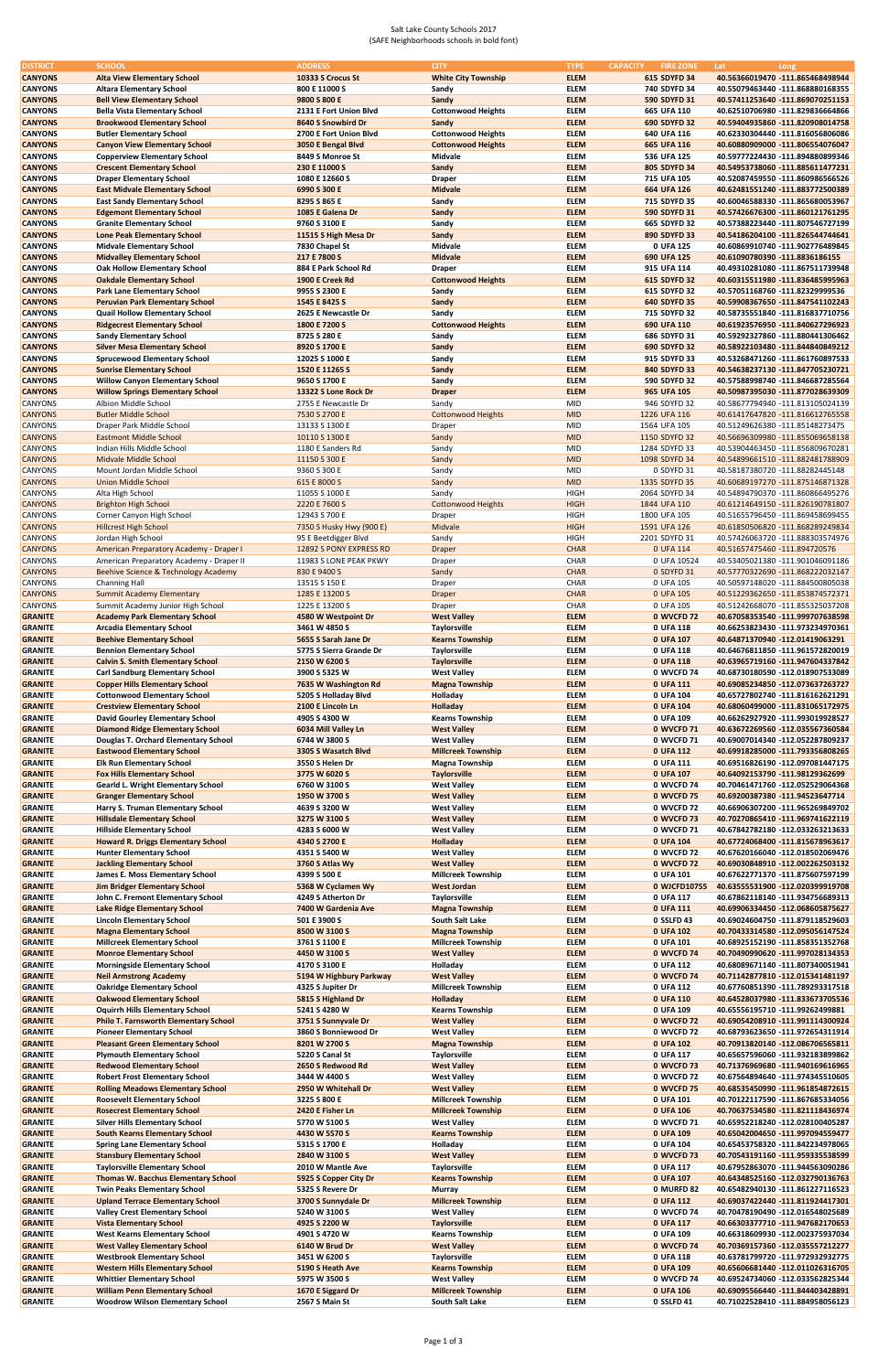## Salt Lake County Schools 2017 (SAFE Neighborhoods schools in bold font)

| <b>DISTRICT</b>                  | <b>SCHOOL</b>                                                                | <b>ADDRESS</b>                     | <b>CITY</b>                                     | <b>TYPE</b><br><b>CAPACITY</b> | <b>FIRE ZONE</b>            | Lat<br>Long                                                          |
|----------------------------------|------------------------------------------------------------------------------|------------------------------------|-------------------------------------------------|--------------------------------|-----------------------------|----------------------------------------------------------------------|
| <b>CANYONS</b>                   | <b>Alta View Elementary School</b>                                           | 10333 S Crocus St                  | <b>White City Township</b>                      | <b>ELEM</b>                    | 615 SDYFD 34                | 40.56366019470 -111.865468498944                                     |
| <b>CANYONS</b>                   | <b>Altara Elementary School</b>                                              | 800 E 11000 S                      | Sandy                                           | <b>ELEM</b>                    | 740 SDYFD 34                | 40.55079463440 -111.868880168355                                     |
| <b>CANYONS</b>                   | <b>Bell View Elementary School</b>                                           | 9800 S 800 E                       | Sandy                                           | <b>ELEM</b>                    | 590 SDYFD 31                | 40.57411253640 -111.869070251153                                     |
| <b>CANYONS</b>                   | <b>Bella Vista Elementary School</b>                                         | 2131 E Fort Union Blvd             | <b>Cottonwood Heights</b>                       | <b>ELEM</b>                    | 665 UFA 110                 | 40.62510706980 -111.829836664866                                     |
| <b>CANYONS</b>                   | <b>Brookwood Elementary School</b>                                           | 8640 S Snowbird Dr                 | Sandy                                           | <b>ELEM</b>                    | 690 SDYFD 32                | 40.59404935860 -111.820908014758                                     |
| <b>CANYONS</b>                   | <b>Butler Elementary School</b>                                              | 2700 E Fort Union Blvd             | <b>Cottonwood Heights</b>                       | <b>ELEM</b>                    | 640 UFA 116                 | 40.62330304440 -111.816056806086                                     |
| <b>CANYONS</b>                   | <b>Canyon View Elementary School</b>                                         | 3050 E Bengal Blvd                 | <b>Cottonwood Heights</b>                       | <b>ELEM</b>                    | 665 UFA 116                 | 40.60880909000 -111.806554076047                                     |
| <b>CANYONS</b>                   | <b>Copperview Elementary School</b>                                          | 8449 S Monroe St                   | Midvale                                         | <b>ELEM</b>                    | 536 UFA 125                 | 40.59777224430 -111.894880899346                                     |
| <b>CANYONS</b>                   | <b>Crescent Elementary School</b>                                            | 230 E 11000 S                      | Sandy                                           | <b>ELEM</b>                    | 805 SDYFD 34                | 40.54953738060 -111.885611477231                                     |
| <b>CANYONS</b>                   | <b>Draper Elementary School</b>                                              | 1080 E 12660 S                     | <b>Draper</b>                                   | <b>ELEM</b>                    | 715 UFA 105                 | 40.52087459550 -111.860986566526                                     |
|                                  |                                                                              |                                    | <b>Midvale</b>                                  | <b>ELEM</b>                    |                             | 40.62481551240 -111.883772500389                                     |
| <b>CANYONS</b>                   | <b>East Midvale Elementary School</b>                                        | 6990 S 300 E                       |                                                 |                                | 664 UFA 126<br>715 SDYFD 35 | 40.60046588330 -111.865680053967                                     |
| <b>CANYONS</b>                   | <b>East Sandy Elementary School</b>                                          | 8295 S 865 E                       | Sandy                                           | <b>ELEM</b><br><b>ELEM</b>     |                             | 40.57426676300 -111.860121761295                                     |
| <b>CANYONS</b>                   | <b>Edgemont Elementary School</b>                                            | 1085 E Galena Dr                   | Sandy                                           |                                | 590 SDYFD 31                |                                                                      |
| <b>CANYONS</b>                   | <b>Granite Elementary School</b>                                             | 9760 S 3100 E                      | Sandy                                           | <b>ELEM</b>                    | 665 SDYFD 32                | 40.57388223440 -111.807546727199                                     |
| <b>CANYONS</b>                   | <b>Lone Peak Elementary School</b>                                           | 11515 S High Mesa Dr               | Sandy                                           | <b>ELEM</b>                    | 890 SDYFD 33                | 40.54186204100 -111.826544744641                                     |
| <b>CANYONS</b>                   | <b>Midvale Elementary School</b>                                             | 7830 Chapel St                     | Midvale                                         | <b>ELEM</b>                    | 0 UFA 125                   | 40.60869910740 -111.902776489845                                     |
| <b>CANYONS</b>                   | <b>Midvalley Elementary School</b>                                           | 217 E 7800 S                       | <b>Midvale</b>                                  | <b>ELEM</b>                    | 690 UFA 125                 | 40.61090780390 -111.8836186155                                       |
| <b>CANYONS</b>                   | <b>Oak Hollow Elementary School</b>                                          | 884 E Park School Rd               | <b>Draper</b>                                   | <b>ELEM</b>                    | 915 UFA 114                 | 40.49310281080 -111.867511739948                                     |
| <b>CANYONS</b>                   | <b>Oakdale Elementary School</b>                                             | 1900 E Creek Rd                    | <b>Cottonwood Heights</b>                       | <b>ELEM</b>                    | 615 SDYFD 32                | 40.60315511980 -111.836485995963                                     |
| <b>CANYONS</b>                   | <b>Park Lane Elementary School</b>                                           | 9955 S 2300 E                      | Sandy                                           | <b>ELEM</b>                    | 615 SDYFD 32                | 40.57051168760 -111.82329999536                                      |
| <b>CANYONS</b>                   | <b>Peruvian Park Elementary School</b>                                       | 1545 E 8425 S                      | Sandy                                           | <b>ELEM</b>                    | 640 SDYFD 35                | 40.59908367650 -111.847541102243                                     |
| <b>CANYONS</b>                   | <b>Quail Hollow Elementary School</b>                                        | 2625 E Newcastle Dr                | Sandy                                           | <b>ELEM</b>                    | 715 SDYFD 32                | 40.58735551840 -111.816837710756                                     |
| <b>CANYONS</b>                   | <b>Ridgecrest Elementary School</b>                                          | 1800 E 7200 S                      | <b>Cottonwood Heights</b>                       | <b>ELEM</b>                    | 690 UFA 110                 | 40.61923576950 -111.840627296923                                     |
| <b>CANYONS</b>                   | <b>Sandy Elementary School</b>                                               | 8725 S 280 E                       | Sandy                                           | <b>ELEM</b>                    | 686 SDYFD 31                | 40.59292327860 -111.880441306462                                     |
| <b>CANYONS</b>                   | <b>Silver Mesa Elementary School</b>                                         | 8920 S 1700 E                      | Sandy                                           | <b>ELEM</b>                    | 690 SDYFD 32                | 40.58922103480 -111.844840849212                                     |
| <b>CANYONS</b>                   | <b>Sprucewood Elementary School</b>                                          | 12025 S 1000 E                     | Sandy                                           | <b>ELEM</b>                    | 915 SDYFD 33                | 40.53268471260 -111.861760897533                                     |
| <b>CANYONS</b>                   | <b>Sunrise Elementary School</b>                                             | 1520 E 11265 S                     | Sandy                                           | <b>ELEM</b>                    | 840 SDYFD 33                | 40.54638237130 -111.847705230721                                     |
| <b>CANYONS</b>                   | <b>Willow Canyon Elementary School</b>                                       | 9650 S 1700 E                      | Sandy                                           | <b>ELEM</b>                    | 590 SDYFD 32                | 40.57588998740 -111.846687285564                                     |
| <b>CANYONS</b>                   | <b>Willow Springs Elementary School</b>                                      | 13322 S Lone Rock Dr               | <b>Draper</b>                                   | <b>ELEM</b>                    | 965 UFA 105                 | 40.50987395030 -111.877028639309                                     |
| <b>CANYONS</b>                   | Albion Middle School                                                         | 2755 E Newcastle Dr                | Sandy                                           | <b>MID</b>                     | 946 SDYFD 32                | 40.58677794940 -111.813105024139                                     |
| <b>CANYONS</b>                   | <b>Butler Middle School</b>                                                  | 7530 S 2700 E                      | <b>Cottonwood Heights</b>                       | <b>MID</b>                     | 1226 UFA 116                | 40.61417647820 -111.816612765558                                     |
| <b>CANYONS</b>                   | Draper Park Middle School                                                    | 13133 S 1300 E                     | Draper                                          | MID                            | 1564 UFA 105                | 40.51249626380 -111.85148273475                                      |
| <b>CANYONS</b>                   | <b>Eastmont Middle School</b>                                                | 10110 S 1300 E                     | Sandy                                           | <b>MID</b>                     | 1150 SDYFD 32               | 40.56696309980 -111.855069658138                                     |
| <b>CANYONS</b>                   | Indian Hills Middle School                                                   | 1180 E Sanders Rd                  | Sandy                                           | <b>MID</b>                     | 1284 SDYFD 33               | 40.53904463450 -111.856809670281                                     |
| <b>CANYONS</b>                   | Midvale Middle School                                                        | 11150 S 300 E                      | Sandy                                           | <b>MID</b>                     | 1098 SDYFD 34               | 40.54899661510 -111.882481788909                                     |
|                                  |                                                                              |                                    |                                                 | <b>MID</b>                     |                             |                                                                      |
| <b>CANYONS</b>                   | Mount Jordan Middle School                                                   | 9360 S 300 E                       | Sandy                                           |                                | 0 SDYFD 31                  | 40.58187380720 -111.88282445148                                      |
| <b>CANYONS</b>                   | <b>Union Middle School</b>                                                   | 615 E 8000 S                       | Sandy                                           | <b>MID</b>                     | 1335 SDYFD 35               | 40.60689197270 -111.875146871328                                     |
| <b>CANYONS</b>                   | Alta High School                                                             | 11055 S 1000 E                     | Sandy                                           | <b>HIGH</b>                    | 2064 SDYFD 34               | 40.54894790370 -111.860866495276                                     |
| <b>CANYONS</b>                   | <b>Brighton High School</b>                                                  | 2220 E 7600 S                      | <b>Cottonwood Heights</b>                       | <b>HIGH</b>                    | 1844 UFA 110                | 40.61214649150 -111.826190781807                                     |
| <b>CANYONS</b>                   | Corner Canyon High School                                                    | 12943 S 700 E                      | Draper                                          | <b>HIGH</b>                    | 1800 UFA 105                | 40.51655796450 -111.869458699455                                     |
| <b>CANYONS</b>                   | <b>Hillcrest High School</b>                                                 | 7350 S Husky Hwy (900 E)           | Midvale                                         | <b>HIGH</b>                    | 1591 UFA 126                | 40.61850506820 -111.868289249834                                     |
| <b>CANYONS</b>                   | Jordan High School                                                           | 95 E Beetdigger Blvd               | Sandy                                           | <b>HIGH</b>                    | 2201 SDYFD 31               | 40.57426063720 -111.888303574976                                     |
| <b>CANYONS</b>                   | American Preparatory Academy - Draper I                                      | 12892 S PONY EXPRESS RD            | <b>Draper</b>                                   | <b>CHAR</b>                    | 0 UFA 114                   | 40.51657475460 -111.894720576                                        |
| <b>CANYONS</b>                   | American Preparatory Academy - Draper II                                     | 11983 S LONE PEAK PKWY             | Draper                                          | <b>CHAR</b>                    | 0 UFA 10524                 | 40.53405021380 -111.901046091186                                     |
| <b>CANYONS</b>                   | Beehive Science & Technology Academy                                         | 830 E 9400 S                       | Sandy                                           | <b>CHAR</b>                    | 0 SDYFD 31                  | 40.57770322690 -111.868222032147                                     |
| <b>CANYONS</b>                   | <b>Channing Hall</b>                                                         | 13515 S 150 E                      | Draper                                          | <b>CHAR</b>                    | 0 UFA 105                   | 40.50597148020 -111.884500805038                                     |
| <b>CANYONS</b>                   | <b>Summit Academy Elementary</b>                                             | 1285 E 13200 S                     | <b>Draper</b>                                   | <b>CHAR</b>                    | 0 UFA 105                   | 40.51229362650 -111.853874572371                                     |
| <b>CANYONS</b>                   | Summit Academy Junior High School                                            | 1225 E 13200 S                     | Draper                                          | CHAR                           | 0 UFA 105                   | 40.51242668070 -111.855325037208                                     |
| <b>GRANITE</b>                   | <b>Academy Park Elementary School</b>                                        | 4580 W Westpoint Dr                | <b>West Valley</b>                              | <b>ELEM</b>                    | 0 WVCFD 72                  | 40.67058353540 -111.999707638598                                     |
| <b>GRANITE</b>                   | <b>Arcadia Elementary School</b>                                             | 3461 W 4850 S                      | Taylorsville                                    | <b>ELEM</b>                    | 0 UFA 118                   | 40.66253823430 -111.973234970361                                     |
|                                  |                                                                              | 5655 S Sarah Jane Dr               |                                                 |                                |                             |                                                                      |
| <b>GRANITE</b>                   | <b>Beehive Elementary School</b>                                             |                                    | <b>Kearns Township</b>                          | <b>ELEM</b>                    | 0 UFA 107                   | 40.64871370940 -112.01419063291                                      |
| <b>GRANITE</b>                   | <b>Bennion Elementary School</b>                                             | 5775 S Sierra Grande Dr            | Taylorsville                                    | <b>ELEM</b>                    | 0 UFA 118                   | 40.64676811850 -111.961572820019                                     |
| <b>GRANITE</b>                   | <b>Calvin S. Smith Elementary School</b>                                     | 2150 W 6200 S                      | <b>Taylorsville</b>                             | <b>ELEM</b>                    | 0 UFA 118                   | 40.63965719160 -111.947604337842                                     |
| <b>GRANITE</b>                   | <b>Carl Sandburg Elementary School</b>                                       | 3900 S 5325 W                      | <b>West Valley</b>                              | <b>ELEM</b>                    | 0 WVCFD 74                  | 40.68730180590 -112.018907533089                                     |
| <b>GRANITE</b>                   | <b>Copper Hills Elementary School</b>                                        | 7635 W Washington Rd               | <b>Magna Township</b>                           | <b>ELEM</b>                    | 0 UFA 111                   | 40.69085234850 -112.073637263727                                     |
| <b>GRANITE</b>                   | <b>Cottonwood Elementary School</b>                                          | 5205 S Holladay Blvd               | Holladay                                        | <b>ELEM</b>                    | 0 UFA 104                   | 40.65727802740 -111.816162621291                                     |
| <b>GRANITE</b>                   | <b>Crestview Elementary School</b>                                           | 2100 E Lincoln Ln                  | Holladay                                        | <b>ELEM</b>                    | 0 UFA 104                   | 40.68060499000 -111.831065172975                                     |
| <b>GRANITE</b>                   | <b>David Gourley Elementary School</b>                                       | 4905 S 4300 W                      | <b>Kearns Township</b>                          | <b>ELEM</b>                    | 0 UFA 109                   | 40.66262927920 -111.993019928527                                     |
| <b>GRANITE</b>                   | <b>Diamond Ridge Elementary School</b>                                       | 6034 Mill Valley Ln                | <b>West Valley</b>                              | <b>ELEM</b>                    | 0 WVCFD 71                  | 40.63672269560 -112.035567360584                                     |
| <b>GRANITE</b>                   | Douglas T. Orchard Elementary School                                         | 6744 W 3800 S                      | <b>West Valley</b>                              | <b>ELEM</b>                    | 0 WVCFD 71                  | 40.69007014340 -112.052287809237                                     |
| <b>GRANITE</b>                   | <b>Eastwood Elementary School</b>                                            | 3305 S Wasatch Blvd                | <b>Millcreek Township</b>                       | <b>ELEM</b>                    | 0 UFA 112                   | 40.69918285000 -111.793356808265                                     |
| <b>GRANITE</b>                   | <b>Elk Run Elementary School</b>                                             | 3550 S Helen Dr                    | <b>Magna Township</b>                           | <b>ELEM</b>                    | 0 UFA 111                   | 40.69516826190 -112.097081447175                                     |
| <b>GRANITE</b>                   | <b>Fox Hills Elementary School</b>                                           | 3775 W 6020 S                      | <b>Taylorsville</b>                             | <b>ELEM</b>                    | 0 UFA 107                   | 40.64092153790 -111.98129362699                                      |
| <b>GRANITE</b>                   | <b>Gearld L. Wright Elementary School</b>                                    | 6760 W 3100 S                      | <b>West Valley</b>                              | <b>ELEM</b>                    | 0 WVCFD 74                  | 40.70461471760 -112.052529064368                                     |
| <b>GRANITE</b>                   | <b>Granger Elementary School</b>                                             | 1950 W 3700 S                      | <b>West Valley</b>                              | <b>ELEM</b>                    | 0 WVCFD 75                  | 40.69200387380 -111.94523647714                                      |
| <b>GRANITE</b>                   | Harry S. Truman Elementary School                                            | 4639 S 3200 W                      | <b>West Valley</b>                              | <b>ELEM</b>                    | 0 WVCFD 72                  | 40.66906307200 -111.965269849702                                     |
| <b>GRANITE</b>                   | <b>Hillsdale Elementary School</b>                                           | 3275 W 3100 S                      | <b>West Valley</b>                              | <b>ELEM</b>                    | 0 WVCFD 73                  | 40.70270865410 -111.969741622119                                     |
| <b>GRANITE</b>                   | <b>Hillside Elementary School</b>                                            |                                    | <b>West Valley</b>                              | <b>ELEM</b>                    | 0 WVCFD 71                  | 40.67842782180 -112.033263213633                                     |
|                                  |                                                                              | 4283 S 6000 W                      |                                                 |                                |                             |                                                                      |
| <b>GRANITE</b><br><b>GRANITE</b> | <b>Howard R. Driggs Elementary School</b><br><b>Hunter Elementary School</b> | 4340 S 2700 E<br>4351 S 5400 W     | Holladay<br><b>West Valley</b>                  | <b>ELEM</b><br><b>ELEM</b>     | 0 UFA 104<br>0 WVCFD 72     | 40.67724068400 -111.815678963617                                     |
|                                  |                                                                              |                                    |                                                 |                                |                             | 40.67620166040 -112.018502069476                                     |
| <b>GRANITE</b>                   | <b>Jackling Elementary School</b>                                            | 3760 S Atlas Wy                    | <b>West Valley</b>                              | <b>ELEM</b>                    | 0 WVCFD 72                  | 40.69030848910 -112.002262503132                                     |
| <b>GRANITE</b>                   | James E. Moss Elementary School                                              | 4399 S 500 E                       | <b>Millcreek Township</b>                       | <b>ELEM</b>                    | 0 UFA 101                   | 40.67622771370 -111.875607597199                                     |
| <b>GRANITE</b>                   | Jim Bridger Elementary School                                                | 5368 W Cyclamen Wy                 | <b>West Jordan</b>                              | <b>ELEM</b>                    | 0 WJCFD10755                | 40.63555531900 -112.020399919708                                     |
| <b>GRANITE</b>                   | John C. Fremont Elementary School                                            | 4249 S Atherton Dr                 | <b>Taylorsville</b>                             | <b>ELEM</b>                    | 0 UFA 117                   | 40.67862118140 -111.934756689313                                     |
| <b>GRANITE</b>                   | <b>Lake Ridge Elementary School</b>                                          | 7400 W Gardenia Ave                | <b>Magna Township</b>                           | <b>ELEM</b>                    | 0 UFA 111                   | 40.69906334450 -112.068605875627                                     |
| <b>GRANITE</b>                   | <b>Lincoln Elementary School</b>                                             | 501 E 3900 S                       | South Salt Lake                                 | <b>ELEM</b>                    | 0 SSLFD 43                  | 40.69024604750 -111.879118529603                                     |
| <b>GRANITE</b>                   | <b>Magna Elementary School</b>                                               | 8500 W 3100 S                      | <b>Magna Township</b>                           | <b>ELEM</b>                    | 0 UFA 102                   | 40.70433314580 -112.095056147524                                     |
| <b>GRANITE</b>                   | <b>Millcreek Elementary School</b>                                           | 3761 S 1100 E                      | <b>Millcreek Township</b>                       | <b>ELEM</b>                    | 0 UFA 101                   | 40.68925152190 -111.858351352768                                     |
| <b>GRANITE</b>                   | <b>Monroe Elementary School</b>                                              | 4450 W 3100 S                      | <b>West Valley</b>                              | <b>ELEM</b>                    | 0 WVCFD 74                  | 40.70490990620 -111.997028134353                                     |
| <b>GRANITE</b>                   | <b>Morningside Elementary School</b>                                         | 4170 S 3100 E                      | Holladay                                        | <b>ELEM</b>                    | 0 UFA 112                   | 40.68089671140 -111.807340051941                                     |
| <b>GRANITE</b>                   | <b>Neil Armstrong Academy</b>                                                | 5194 W Highbury Parkway            | <b>West Valley</b>                              | <b>ELEM</b>                    | 0 WVCFD 74                  | 40.71142877810 -112.015341481197                                     |
| <b>GRANITE</b>                   | <b>Oakridge Elementary School</b>                                            | 4325 S Jupiter Dr                  | <b>Millcreek Township</b>                       | <b>ELEM</b>                    | 0 UFA 112                   | 40.67760851390 -111.789293317518                                     |
| <b>GRANITE</b>                   | <b>Oakwood Elementary School</b>                                             | 5815 S Highland Dr                 | Holladay                                        | <b>ELEM</b>                    | 0 UFA 110                   | 40.64528037980 -111.833673705536                                     |
| <b>GRANITE</b>                   | <b>Oquirrh Hills Elementary School</b>                                       | 5241 S 4280 W                      | <b>Kearns Township</b>                          | <b>ELEM</b>                    | 0 UFA 109                   | 40.65556195710 -111.99262499881                                      |
| <b>GRANITE</b>                   | <b>Philo T. Farnsworth Elementary School</b>                                 | 3751 S Sunnyvale Dr                | <b>West Valley</b>                              | <b>ELEM</b>                    | 0 WVCFD 72                  | 40.69054208910 -111.991114300924                                     |
| <b>GRANITE</b>                   | <b>Pioneer Elementary School</b>                                             | 3860 S Bonniewood Dr               | <b>West Valley</b>                              | <b>ELEM</b>                    | 0 WVCFD 72                  | 40.68793623650 -111.972654311914                                     |
| <b>GRANITE</b>                   | <b>Pleasant Green Elementary School</b>                                      | 8201 W 2700 S                      | <b>Magna Township</b>                           | <b>ELEM</b>                    | 0 UFA 102                   | 40.70913820140 -112.086706565811                                     |
| <b>GRANITE</b>                   | <b>Plymouth Elementary School</b>                                            | 5220 S Canal St                    | Taylorsville                                    | <b>ELEM</b>                    | 0 UFA 117                   | 40.65657596060 -111.932183899862                                     |
| <b>GRANITE</b>                   | <b>Redwood Elementary School</b>                                             | 2650 S Redwood Rd                  | <b>West Valley</b>                              | <b>ELEM</b>                    | 0 WVCFD 73                  | 40.71376969680 -111.940169616965                                     |
| <b>GRANITE</b>                   | <b>Robert Frost Elementary School</b>                                        | 3444 W 4400 S                      | <b>West Valley</b>                              | <b>ELEM</b>                    | 0 WVCFD 72                  | 40.67564894640 -111.974345510605                                     |
| <b>GRANITE</b>                   | <b>Rolling Meadows Elementary School</b>                                     | 2950 W Whitehall Dr                | <b>West Valley</b>                              | <b>ELEM</b>                    | 0 WVCFD 75                  | 40.68535450990 -111.961854872615                                     |
| <b>GRANITE</b>                   | <b>Roosevelt Elementary School</b>                                           | 3225 S 800 E                       | <b>Millcreek Township</b>                       | <b>ELEM</b>                    | 0 UFA 101                   | 40.70122117590 -111.867685334056                                     |
|                                  | <b>Rosecrest Elementary School</b>                                           |                                    |                                                 | <b>ELEM</b>                    | 0 UFA 106                   |                                                                      |
| <b>GRANITE</b>                   |                                                                              | 2420 E Fisher Ln                   | <b>Millcreek Township</b>                       |                                |                             | 40.70637534580 -111.821118436974                                     |
| <b>GRANITE</b>                   | <b>Silver Hills Elementary School</b>                                        | 5770 W 5100 S                      | <b>West Valley</b>                              | <b>ELEM</b>                    | 0 WVCFD 71                  | 40.65952218240 -112.028100405287                                     |
| <b>GRANITE</b>                   | <b>South Kearns Elementary School</b>                                        | 4430 W 5570 S                      | <b>Kearns Township</b>                          | <b>ELEM</b>                    | 0 UFA 109                   | 40.65042004650 -111.997094559477                                     |
| <b>GRANITE</b>                   | <b>Spring Lane Elementary School</b>                                         | 5315 S 1700 E                      | Holladay                                        | <b>ELEM</b>                    | 0 UFA 104                   | 40.65453758320 -111.842234978065                                     |
| <b>GRANITE</b>                   | <b>Stansbury Elementary School</b>                                           | 2840 W 3100 S                      | <b>West Valley</b>                              | <b>ELEM</b>                    | 0 WVCFD 73                  | 40.70543191160 -111.959335538599                                     |
| <b>GRANITE</b>                   | <b>Taylorsville Elementary School</b>                                        | 2010 W Mantle Ave                  | Taylorsville                                    | <b>ELEM</b>                    | 0 UFA 117                   | 40.67952863070 -111.944563090286                                     |
| <b>GRANITE</b>                   | <b>Thomas W. Bacchus Elementary School</b>                                   | 5925 S Copper City Dr              | <b>Kearns Township</b>                          | <b>ELEM</b>                    | 0 UFA 107                   | 40.64348525160 -112.032790136763                                     |
| <b>GRANITE</b>                   | <b>Twin Peaks Elementary School</b>                                          | 5325 S Revere Dr                   | Murray                                          | <b>ELEM</b>                    | 0 MURFD 82                  | 40.65482940130 -111.861227116523                                     |
| <b>GRANITE</b>                   | <b>Upland Terrace Elementary School</b>                                      | 3700 S Sunnydale Dr                | <b>Millcreek Township</b>                       | <b>ELEM</b>                    | 0 UFA 112                   | 40.69037422440 -111.811924417301                                     |
| <b>GRANITE</b>                   | <b>Valley Crest Elementary School</b>                                        | 5240 W 3100 S                      | <b>West Valley</b>                              | <b>ELEM</b>                    | 0 WVCFD 74                  | 40.70478190490 -112.016548025689                                     |
| <b>GRANITE</b>                   | <b>Vista Elementary School</b>                                               | 4925 S 2200 W                      | <b>Taylorsville</b>                             | <b>ELEM</b>                    | 0 UFA 117                   | 40.66303377710 -111.947682170653                                     |
| <b>GRANITE</b>                   |                                                                              | 4901 S 4720 W                      | <b>Kearns Township</b>                          | <b>ELEM</b>                    | 0 UFA 109                   | 40.66318609930 -112.002375937034                                     |
|                                  | <b>West Kearns Elementary School</b>                                         |                                    |                                                 |                                |                             |                                                                      |
| <b>GRANITE</b>                   | <b>West Valley Elementary School</b>                                         | 6140 W Brud Dr                     | <b>West Valley</b>                              | <b>ELEM</b>                    | 0 WVCFD 74                  | 40.70369157360 -112.035557212277                                     |
| <b>GRANITE</b>                   | <b>Westbrook Elementary School</b>                                           | 3451 W 6200 S                      | <b>Taylorsville</b>                             | <b>ELEM</b>                    | 0 UFA 118                   | 40.63781799720 -111.972932932775                                     |
|                                  | <b>Western Hills Elementary School</b>                                       | 5190 S Heath Ave                   |                                                 |                                |                             |                                                                      |
| <b>GRANITE</b>                   |                                                                              |                                    | <b>Kearns Township</b>                          | <b>ELEM</b>                    | 0 UFA 109                   | 40.65606681440 -112.011026316705                                     |
| <b>GRANITE</b><br><b>GRANITE</b> | <b>Whittier Elementary School</b><br><b>William Penn Elementary School</b>   | 5975 W 3500 S<br>1670 E Siggard Dr | <b>West Valley</b><br><b>Millcreek Township</b> | ELEM<br><b>ELEM</b>            | 0 WVCFD 74<br>0 UFA 106     | 40.69524734060 -112.033562825344<br>40.69095566440 -111.844403428891 |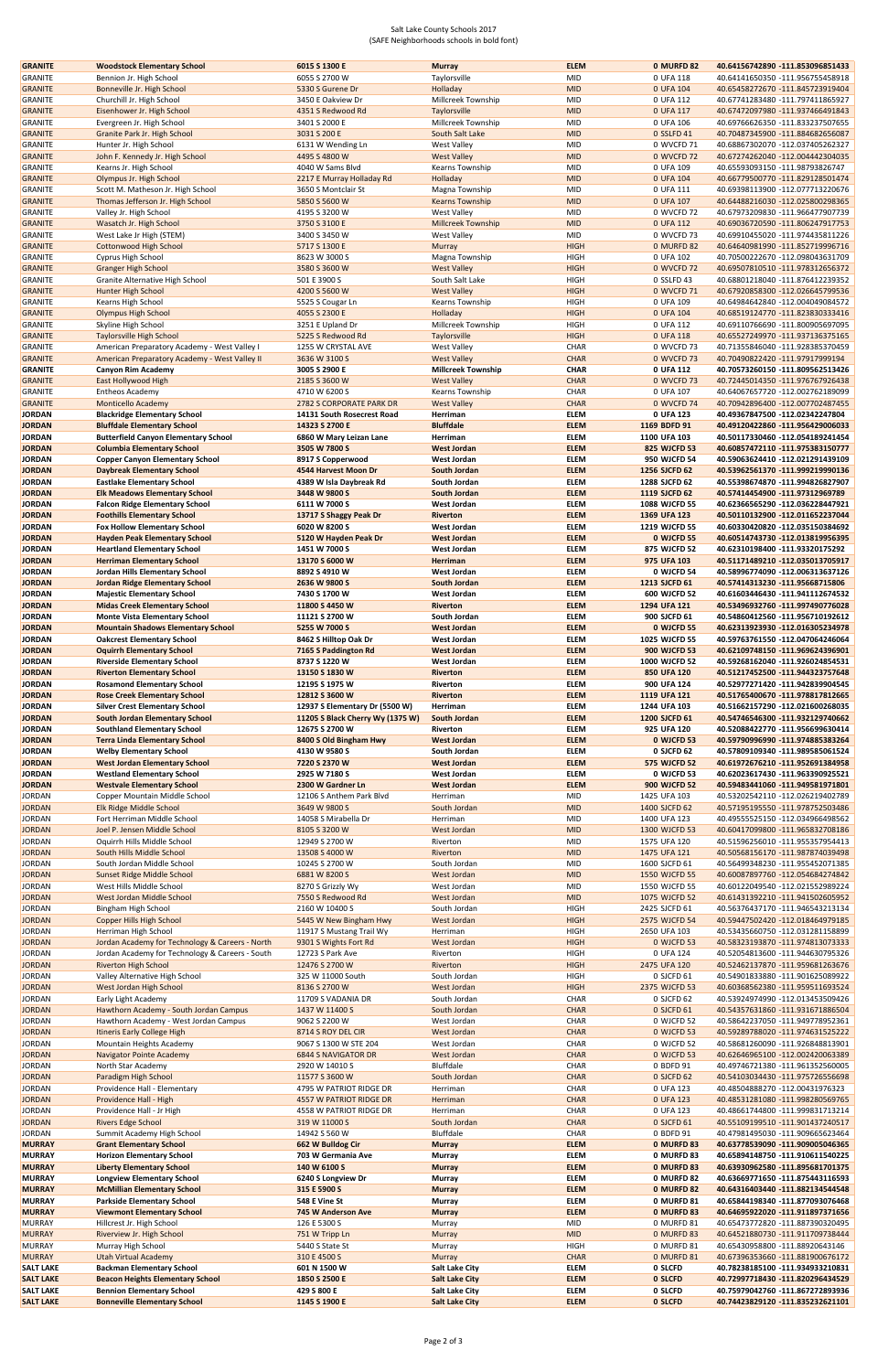## Salt Lake County Schools 2017 (SAFE Neighborhoods schools in bold font)

| <b>GRANITE</b>                       | <b>Woodstock Elementary School</b>                                          | 6015 S 1300 E                    | <b>Murray</b>                                  | <b>ELEM</b>                | 0 MURFD 82          | 40.64156742890 -111.853096851433                                     |
|--------------------------------------|-----------------------------------------------------------------------------|----------------------------------|------------------------------------------------|----------------------------|---------------------|----------------------------------------------------------------------|
| <b>GRANITE</b>                       | Bennion Jr. High School                                                     | 6055 S 2700 W                    | Taylorsville                                   | MID                        | 0 UFA 118           | 40.64141650350 -111.956755458918                                     |
| <b>GRANITE</b>                       | Bonneville Jr. High School                                                  | 5330 S Gurene Dr                 | Holladay                                       | <b>MID</b>                 | 0 UFA 104           | 40.65458272670 -111.845723919404                                     |
| <b>GRANITE</b>                       | Churchill Jr. High School                                                   | 3450 E Oakview Dr                | Millcreek Township                             | <b>MID</b>                 | 0 UFA 112           | 40.67741283480 -111.797411865927                                     |
| <b>GRANITE</b>                       | Eisenhower Jr. High School                                                  | 4351 S Redwood Rd                | Taylorsville                                   | <b>MID</b>                 | 0 UFA 117           | 40.67472097980 -111.937466491843                                     |
| <b>GRANITE</b>                       | Evergreen Jr. High School                                                   | 3401 S 2000 E                    | Millcreek Township                             | <b>MID</b>                 | 0 UFA 106           | 40.69766626350 -111.833237507655                                     |
| <b>GRANITE</b>                       | Granite Park Jr. High School                                                | 3031 S 200 E                     | South Salt Lake                                | <b>MID</b>                 | 0 SSLFD 41          | 40.70487345900 -111.884682656087                                     |
| GRANITE                              | Hunter Jr. High School                                                      | 6131 W Wending Ln                | <b>West Valley</b>                             | <b>MID</b>                 | 0 WVCFD 71          | 40.68867302070 -112.037405262327                                     |
| <b>GRANITE</b>                       | John F. Kennedy Jr. High School                                             | 4495 S 4800 W                    | <b>West Valley</b>                             | <b>MID</b>                 | 0 WVCFD 72          | 40.67274262040 -112.004442304035                                     |
| <b>GRANITE</b>                       | Kearns Jr. High School                                                      | 4040 W Sams Blvd                 | Kearns Township                                | <b>MID</b>                 | 0 UFA 109           | 40.65593093150 -111.98793826747                                      |
| <b>GRANITE</b>                       | Olympus Jr. High School                                                     | 2217 E Murray Holladay Rd        | Holladay                                       | <b>MID</b>                 | 0 UFA 104           | 40.66779500770 -111.829128501474                                     |
| <b>GRANITE</b>                       | Scott M. Matheson Jr. High School                                           | 3650 S Montclair St              | Magna Township                                 | <b>MID</b>                 | 0 UFA 111           | 40.69398113900 -112.077713220676                                     |
| <b>GRANITE</b>                       | Thomas Jefferson Jr. High School                                            | 5850 S 5600 W                    | <b>Kearns Township</b>                         | <b>MID</b>                 | 0 UFA 107           | 40.64488216030 -112.025800298365                                     |
| <b>GRANITE</b>                       | Valley Jr. High School                                                      | 4195 S 3200 W                    | <b>West Valley</b>                             | <b>MID</b>                 | 0 WVCFD 72          | 40.67973209830 -111.966477907739                                     |
| <b>GRANITE</b>                       | Wasatch Jr. High School                                                     | 3750 S 3100 E                    | <b>Millcreek Township</b>                      | <b>MID</b>                 | 0 UFA 112           | 40.69036720590 -111.806247917753                                     |
| <b>GRANITE</b>                       | West Lake Jr High (STEM)                                                    | 3400 S 3450 W                    | <b>West Valley</b>                             | MID                        | 0 WVCFD 73          | 40.69910455020 -111.974435811226                                     |
| <b>GRANITE</b>                       | <b>Cottonwood High School</b>                                               | 5717 S 1300 E                    | Murray                                         | <b>HIGH</b>                | 0 MURFD 82          | 40.64640981990 -111.852719996716                                     |
| <b>GRANITE</b>                       | Cyprus High School                                                          | 8623 W 3000 S                    | Magna Township                                 | <b>HIGH</b>                | 0 UFA 102           | 40.70500222670 -112.098043631709                                     |
| <b>GRANITE</b>                       | <b>Granger High School</b>                                                  | 3580 S 3600 W                    | <b>West Valley</b>                             | <b>HIGH</b>                | 0 WVCFD 72          | 40.69507810510 -111.978312656372                                     |
| <b>GRANITE</b>                       | Granite Alternative High School                                             | 501 E 3900 S                     | South Salt Lake                                | <b>HIGH</b>                | 0 SSLFD 43          | 40.68801218040 -111.876412239352                                     |
| <b>GRANITE</b>                       | Hunter High School                                                          | 4200 S 5600 W                    | <b>West Valley</b>                             | <b>HIGH</b>                | 0 WVCFD 71          | 40.67920858300 -112.026645799536                                     |
| <b>GRANITE</b>                       | Kearns High School                                                          | 5525 S Cougar Ln                 | Kearns Township                                | <b>HIGH</b>                | 0 UFA 109           | 40.64984642840 -112.004049084572                                     |
|                                      |                                                                             |                                  |                                                | <b>HIGH</b>                |                     |                                                                      |
| <b>GRANITE</b>                       | <b>Olympus High School</b>                                                  | 4055 S 2300 E                    | Holladay                                       |                            | 0 UFA 104           | 40.68519124770 -111.823830333416                                     |
| <b>GRANITE</b>                       | Skyline High School                                                         | 3251 E Upland Dr                 | Millcreek Township                             | <b>HIGH</b>                | 0 UFA 112           | 40.69110766690 -111.800905697095                                     |
| <b>GRANITE</b>                       | <b>Taylorsville High School</b>                                             | 5225 S Redwood Rd                | Taylorsville                                   | <b>HIGH</b>                | 0 UFA 118           | 40.65527249970 -111.937136375165                                     |
| <b>GRANITE</b>                       | American Preparatory Academy - West Valley I                                | 1255 W CRYSTAL AVE               | <b>West Valley</b>                             | CHAR                       | 0 WVCFD 73          | 40.71355846040 -111.928385370459                                     |
| <b>GRANITE</b>                       | American Preparatory Academy - West Valley II                               | 3636 W 3100 S                    | <b>West Valley</b>                             | <b>CHAR</b>                | 0 WVCFD 73          | 40.70490822420 -111.97917999194                                      |
| <b>GRANITE</b>                       | <b>Canyon Rim Academy</b>                                                   | 3005 S 2900 E                    | <b>Millcreek Township</b>                      | <b>CHAR</b>                | 0 UFA 112           | 40.70573260150 -111.809562513426                                     |
| <b>GRANITE</b>                       | East Hollywood High                                                         | 2185 S 3600 W                    | <b>West Valley</b>                             | <b>CHAR</b>                | 0 WVCFD 73          | 40.72445014350 -111.976767926438                                     |
| <b>GRANITE</b>                       | <b>Entheos Academy</b>                                                      | 4710 W 6200 S                    | Kearns Township                                | CHAR                       | 0 UFA 107           | 40.64067657720 -112.002762189099                                     |
| <b>GRANITE</b>                       | <b>Monticello Academy</b>                                                   | 2782 S CORPORATE PARK DR         | <b>West Valley</b>                             | <b>CHAR</b>                | 0 WVCFD 74          | 40.70942896400 -112.007702487455                                     |
| <b>JORDAN</b>                        | <b>Blackridge Elementary School</b>                                         | 14131 South Rosecrest Road       | Herriman                                       | <b>ELEM</b>                | 0 UFA 123           | 40.49367847500 -112.02342247804                                      |
| <b>JORDAN</b>                        | <b>Bluffdale Elementary School</b>                                          | 14323 S 2700 E                   | <b>Bluffdale</b>                               | <b>ELEM</b>                | 1169 BDFD 91        | 40.49120422860 -111.956429006033                                     |
| <b>JORDAN</b>                        | <b>Butterfield Canyon Elementary School</b>                                 | 6860 W Mary Leizan Lane          | Herriman                                       | <b>ELEM</b>                | 1100 UFA 103        | 40.50117330460 -112.054189241454                                     |
| <b>JORDAN</b>                        | <b>Columbia Elementary School</b>                                           | 3505 W 7800 S                    | <b>West Jordan</b>                             | <b>ELEM</b>                | 825 WJCFD 53        | 40.60857472110 -111.975383150777                                     |
| <b>JORDAN</b>                        | <b>Copper Canyon Elementary School</b>                                      | 8917 S Copperwood                | <b>West Jordan</b>                             | <b>ELEM</b>                | 950 WJCFD 54        | 40.59063624410 -112.021291439109                                     |
| <b>JORDAN</b>                        | <b>Daybreak Elementary School</b>                                           | 4544 Harvest Moon Dr             | South Jordan                                   | <b>ELEM</b>                | 1256 SJCFD 62       | 40.53962561370 -111.999219990136                                     |
| <b>JORDAN</b>                        | <b>Eastlake Elementary School</b>                                           | 4389 W Isla Daybreak Rd          | South Jordan                                   | <b>ELEM</b>                | 1288 SJCFD 62       | 40.55398674870 -111.994826827907                                     |
| <b>JORDAN</b>                        | <b>Elk Meadows Elementary School</b>                                        | 3448 W 9800 S                    | South Jordan                                   | <b>ELEM</b>                | 1119 SJCFD 62       | 40.57414454900 -111.97312969789                                      |
| <b>JORDAN</b>                        | <b>Falcon Ridge Elementary School</b>                                       | 6111 W 7000 S                    | <b>West Jordan</b>                             | <b>ELEM</b>                | 1088 WJCFD 55       | 40.62366565290 -112.036228447921                                     |
| <b>JORDAN</b>                        | <b>Foothills Elementary School</b>                                          | 13717 S Shaggy Peak Dr           | <b>Riverton</b>                                | <b>ELEM</b>                | 1369 UFA 123        | 40.50110132900 -112.011652237044                                     |
| <b>JORDAN</b>                        | <b>Fox Hollow Elementary School</b>                                         | 6020 W 8200 S                    | <b>West Jordan</b>                             | <b>ELEM</b>                | 1219 WJCFD 55       | 40.60330420820 -112.035150384692                                     |
|                                      |                                                                             |                                  |                                                |                            |                     |                                                                      |
| <b>JORDAN</b>                        | <b>Hayden Peak Elementary School</b>                                        | 5120 W Hayden Peak Dr            | <b>West Jordan</b>                             | <b>ELEM</b>                | 0 WJCFD 55          | 40.60514743730 -112.013819956395                                     |
| <b>JORDAN</b>                        | <b>Heartland Elementary School</b>                                          | 1451 W 7000 S                    | <b>West Jordan</b>                             | <b>ELEM</b>                | 875 WJCFD 52        | 40.62310198400 -111.93320175292                                      |
| <b>JORDAN</b>                        | <b>Herriman Elementary School</b>                                           | 13170 S 6000 W                   | Herriman                                       | <b>ELEM</b>                | 975 UFA 103         | 40.51171489210 -112.035013705917                                     |
| <b>JORDAN</b>                        | Jordan Hills Elementary School                                              | 8892 S 4910 W                    | <b>West Jordan</b>                             | <b>ELEM</b>                | 0 WJCFD 54          | 40.58996774090 -112.006313637126                                     |
| <b>JORDAN</b>                        | Jordan Ridge Elementary School                                              | 2636 W 9800 S                    | <b>South Jordan</b>                            | <b>ELEM</b>                | 1213 SJCFD 61       | 40.57414313230 -111.95668715806                                      |
| <b>JORDAN</b>                        | <b>Majestic Elementary School</b>                                           | 7430 S 1700 W                    | <b>West Jordan</b>                             | <b>ELEM</b>                | 600 WJCFD 52        | 40.61603446430 -111.941112674532                                     |
| <b>JORDAN</b>                        | <b>Midas Creek Elementary School</b>                                        | 11800 S 4450 W                   | <b>Riverton</b>                                | <b>ELEM</b>                | 1294 UFA 121        | 40.53496932760 -111.997490776028                                     |
| <b>JORDAN</b>                        | <b>Monte Vista Elementary School</b>                                        | 11121 S 2700 W                   | South Jordan                                   | <b>ELEM</b>                | 900 SJCFD 61        | 40.54860412560 -111.956710192612                                     |
| <b>JORDAN</b>                        | <b>Mountain Shadows Elementary School</b>                                   | 5255 W 7000 S                    | <b>West Jordan</b>                             | <b>ELEM</b>                | 0 WJCFD 55          | 40.62313923930 -112.016305234978                                     |
| <b>JORDAN</b>                        | <b>Oakcrest Elementary School</b>                                           | 8462 S Hilltop Oak Dr            | <b>West Jordan</b>                             | <b>ELEM</b>                | 1025 WJCFD 55       | 40.59763761550 -112.047064246064                                     |
| <b>JORDAN</b>                        | <b>Oquirrh Elementary School</b>                                            | 7165 S Paddington Rd             | <b>West Jordan</b>                             | <b>ELEM</b>                | <b>900 WJCFD 53</b> | 40.62109748150 -111.969624396901                                     |
| <b>JORDAN</b>                        | <b>Riverside Elementary School</b>                                          | 8737 S 1220 W                    | <b>West Jordan</b>                             | <b>ELEM</b>                | 1000 WJCFD 52       | 40.59268162040 -111.926024854531                                     |
| <b>JORDAN</b>                        |                                                                             | 13150 S 1830 W                   | <b>Riverton</b>                                |                            |                     |                                                                      |
|                                      |                                                                             |                                  |                                                |                            |                     |                                                                      |
|                                      | <b>Riverton Elementary School</b>                                           |                                  |                                                | <b>ELEM</b>                | 850 UFA 120         | 40.51217452500 -111.944323757648                                     |
| <b>JORDAN</b>                        | <b>Rosamond Elementary School</b>                                           | 12195 S 1975 W                   | Riverton                                       | <b>ELEM</b>                | 900 UFA 124         | 40.52977271420 -111.942839904545                                     |
| <b>JORDAN</b>                        | <b>Rose Creek Elementary School</b>                                         | 12812 S 3600 W                   | <b>Riverton</b>                                | <b>ELEM</b>                | 1119 UFA 121        | 40.51765400670 -111.978817812665                                     |
| <b>JORDAN</b>                        | <b>Silver Crest Elementary School</b>                                       | 12937 S Elementary Dr (5500 W)   | Herriman                                       | <b>ELEM</b>                | 1244 UFA 103        | 40.51662157290 -112.021600268035                                     |
| <b>JORDAN</b>                        | <b>South Jordan Elementary School</b>                                       | 11205 S Black Cherry Wy (1375 W) | South Jordan                                   | <b>ELEM</b>                | 1200 SJCFD 61       | 40.54746546300 -111.932129740662                                     |
| <b>JORDAN</b>                        | <b>Southland Elementary School</b>                                          | 12675 S 2700 W                   | Riverton                                       | <b>ELEM</b>                | 925 UFA 120         | 40.52088422770 -111.956699630414                                     |
| <b>JORDAN</b>                        | <b>Terra Linda Elementary School</b>                                        | 8400 S Old Bingham Hwy           | <b>West Jordan</b>                             | <b>ELEM</b>                | 0 WJCFD 53          | 40.59790996990 -111.974885383264                                     |
| <b>JORDAN</b>                        | <b>Welby Elementary School</b>                                              | 4130 W 9580 S                    | South Jordan                                   | <b>ELEM</b>                | 0 SJCFD 62          | 40.57809109340 -111.989585061524                                     |
| <b>JORDAN</b>                        | <b>West Jordan Elementary School</b>                                        | 7220 S 2370 W                    | <b>West Jordan</b>                             | <b>ELEM</b>                | <b>575 WJCFD 52</b> | 40.61972676210 -111.952691384958                                     |
| <b>JORDAN</b>                        | <b>Westland Elementary School</b>                                           | 2925 W 7180 S                    | West Jordan                                    | <b>ELEM</b>                | 0 WJCFD 53          | 40.62023617430 -111.963390925521                                     |
| <b>JORDAN</b>                        | <b>Westvale Elementary School</b>                                           | 2300 W Gardner Ln                | <b>West Jordan</b>                             | <b>ELEM</b>                | <b>900 WJCFD 52</b> | 40.59483441060 -111.949581971801                                     |
| JORDAN                               | Copper Mountain Middle School                                               | 12106 S Anthem Park Blvd         | Herriman                                       | <b>MID</b>                 | 1425 UFA 103        | 40.53202542110 -112.026219402789                                     |
| <b>JORDAN</b>                        | Elk Ridge Middle School                                                     | 3649 W 9800 S                    | South Jordan                                   | <b>MID</b>                 | 1400 SJCFD 62       | 40.57195195550 -111.978752503486                                     |
| JORDAN                               | Fort Herriman Middle School                                                 | 14058 S Mirabella Dr             | Herriman                                       | <b>MID</b>                 | 1400 UFA 123        | 40.49555525150 -112.034966498562                                     |
| <b>JORDAN</b>                        | Joel P. Jensen Middle School                                                | 8105 S 3200 W                    | West Jordan                                    | <b>MID</b>                 | 1300 WJCFD 53       | 40.60417099800 -111.965832708186                                     |
| JORDAN                               | Oquirrh Hills Middle School                                                 | 12949 S 2700 W                   | Riverton                                       | <b>MID</b>                 | 1575 UFA 120        | 40.51596256010 -111.955357954413                                     |
| <b>JORDAN</b>                        | South Hills Middle School                                                   | 13508 S 4000 W                   | Riverton                                       | <b>MID</b>                 | 1475 UFA 121        | 40.50568156170 -111.987874039498                                     |
| JORDAN                               | South Jordan Middle School                                                  | 10245 S 2700 W                   | South Jordan                                   | <b>MID</b>                 | 1600 SJCFD 61       | 40.56499348230 -111.955452071385                                     |
|                                      |                                                                             | 6881 W 8200 S                    |                                                | <b>MID</b>                 |                     |                                                                      |
| <b>JORDAN</b>                        | Sunset Ridge Middle School                                                  |                                  | West Jordan                                    |                            | 1550 WJCFD 55       | 40.60087897760 -112.054684274842                                     |
| JORDAN                               | West Hills Middle School                                                    | 8270 S Grizzly Wy                | West Jordan                                    | <b>MID</b>                 | 1550 WJCFD 55       | 40.60122049540 -112.021552989224                                     |
| <b>JORDAN</b>                        | West Jordan Middle School                                                   | 7550 S Redwood Rd                | West Jordan                                    | <b>MID</b>                 | 1075 WJCFD 52       | 40.61431392210 -111.941502605952                                     |
| JORDAN                               | Bingham High School                                                         | 2160 W 10400 S                   | South Jordan                                   | <b>HIGH</b>                | 2425 SJCFD 61       | 40.56376437170 -111.946543213134                                     |
| <b>JORDAN</b>                        | Copper Hills High School                                                    | 5445 W New Bingham Hwy           | West Jordan                                    | <b>HIGH</b>                | 2575 WJCFD 54       | 40.59447502420 -112.018464979185                                     |
| JORDAN                               | Herriman High School                                                        | 11917 S Mustang Trail Wy         | Herriman                                       | <b>HIGH</b>                | 2650 UFA 103        | 40.53435660750 -112.031281158899                                     |
| <b>JORDAN</b>                        | Jordan Academy for Technology & Careers - North                             | 9301 S Wights Fort Rd            | West Jordan                                    | <b>HIGH</b>                | 0 WJCFD 53          | 40.58323193870 -111.974813073333                                     |
| JORDAN                               | Jordan Academy for Technology & Careers - South                             | 12723 S Park Ave                 | Riverton                                       | <b>HIGH</b>                | 0 UFA 124           | 40.52054813600 -111.944630795326                                     |
| <b>JORDAN</b>                        | <b>Riverton High School</b>                                                 | 12476 S 2700 W                   | Riverton                                       | <b>HIGH</b>                | 2475 UFA 120        | 40.52462137870 -111.959681263676                                     |
| JORDAN                               | Valley Alternative High School                                              | 325 W 11000 South                | South Jordan                                   | <b>HIGH</b>                | 0 SJCFD 61          | 40.54901833880 -111.901625089922                                     |
| <b>JORDAN</b>                        | West Jordan High School                                                     | 8136 S 2700 W                    | West Jordan                                    | <b>HIGH</b>                | 2375 WJCFD 53       | 40.60368562380 -111.959511693524                                     |
| JORDAN                               | Early Light Academy                                                         | 11709 S VADANIA DR               | South Jordan                                   | CHAR                       | 0 SJCFD 62          | 40.53924974990 -112.013453509426                                     |
| <b>JORDAN</b>                        | Hawthorn Academy - South Jordan Campus                                      | 1437 W 11400 S                   | South Jordan                                   | <b>CHAR</b>                | 0 SJCFD 61          | 40.54357631860 -111.931671886504                                     |
| JORDAN                               | Hawthorn Academy - West Jordan Campus                                       | 9062 S 2200 W                    | West Jordan                                    | CHAR                       | 0 WJCFD 52          | 40.58642237050 -111.949778952361                                     |
| <b>JORDAN</b>                        | Itineris Early College High                                                 | 8714 S ROY DEL CIR               | West Jordan                                    | <b>CHAR</b>                | 0 WJCFD 53          | 40.59289788020 -111.974631525222                                     |
| JORDAN                               | Mountain Heights Academy                                                    | 9067 S 1300 W STE 204            | West Jordan                                    | CHAR                       | 0 WJCFD 52          | 40.58681260090 -111.926848813901                                     |
| <b>JORDAN</b>                        | Navigator Pointe Academy                                                    | <b>6844 S NAVIGATOR DR</b>       | West Jordan                                    | <b>CHAR</b>                | 0 WJCFD 53          | 40.62646965100 -112.002420063389                                     |
| <b>JORDAN</b>                        | North Star Academy                                                          | 2920 W 14010 S                   | Bluffdale                                      | CHAR                       | 0 BDFD 91           | 40.49746721380 -111.961352560005                                     |
| <b>JORDAN</b>                        |                                                                             | 11577 S 3600 W                   | South Jordan                                   | <b>CHAR</b>                | 0 SJCFD 62          | 40.54103034430 -111.975726556698                                     |
| JORDAN                               | Paradigm High School<br>Providence Hall - Elementary                        | 4795 W PATRIOT RIDGE DR          | Herriman                                       | CHAR                       |                     |                                                                      |
|                                      |                                                                             |                                  |                                                |                            | 0 UFA 123           | 40.48504888270 -112.00431976323                                      |
| <b>JORDAN</b>                        | Providence Hall - High                                                      | 4557 W PATRIOT RIDGE DR          | Herriman                                       | <b>CHAR</b>                | 0 UFA 123           | 40.48531281080 -111.998280569765                                     |
| JORDAN                               | Providence Hall - Jr High                                                   | 4558 W PATRIOT RIDGE DR          | Herriman                                       | CHAR                       | 0 UFA 123           | 40.48661744800 -111.999831713214                                     |
| <b>JORDAN</b>                        | <b>Rivers Edge School</b>                                                   | 319 W 11000 S                    | South Jordan                                   | <b>CHAR</b>                | 0 SJCFD 61          | 40.55109199510 -111.901437240517                                     |
| JORDAN                               | Summit Academy High School                                                  | 14942 S 560 W                    | Bluffdale                                      | CHAR                       | 0 BDFD 91           | 40.47981495030 -111.909665623464                                     |
| <b>MURRAY</b>                        | <b>Grant Elementary School</b>                                              | 662 W Bulldog Cir                | <b>Murray</b>                                  | <b>ELEM</b>                | 0 MURFD 83          | 40.63778539090 -111.909005046365                                     |
| <b>MURRAY</b>                        | <b>Horizon Elementary School</b>                                            | 703 W Germania Ave               | Murray                                         | <b>ELEM</b>                | 0 MURFD 83          | 40.65894148750 -111.910611540225                                     |
| <b>MURRAY</b>                        | <b>Liberty Elementary School</b>                                            | 140 W 6100 S                     | <b>Murray</b>                                  | <b>ELEM</b>                | 0 MURFD 83          | 40.63930962580 -111.895681701375                                     |
| <b>MURRAY</b>                        | <b>Longview Elementary School</b>                                           | 6240 S Longview Dr               | Murray                                         | <b>ELEM</b>                | 0 MURFD 82          | 40.63669771650 -111.875443116593                                     |
| <b>MURRAY</b>                        | <b>McMillian Elementary School</b>                                          | 315 E 5900 S                     | <b>Murray</b>                                  | <b>ELEM</b>                | 0 MURFD 82          | 40.64316403440 -111.882134544548                                     |
| <b>MURRAY</b>                        | <b>Parkside Elementary School</b>                                           | 548 E Vine St                    | Murray                                         | ELEM                       | 0 MURFD 81          | 40.65844198340 -111.877093076468                                     |
| <b>MURRAY</b>                        | <b>Viewmont Elementary School</b>                                           | 745 W Anderson Ave               | <b>Murray</b>                                  | <b>ELEM</b>                | 0 MURFD 83          | 40.64695922020 -111.911897371656                                     |
| <b>MURRAY</b>                        | Hillcrest Jr. High School                                                   | 126 E 5300 S                     | Murray                                         | MID                        | 0 MURFD 81          | 40.65473772820 -111.887390320495                                     |
| <b>MURRAY</b>                        |                                                                             | 751 W Tripp Ln                   | Murray                                         | <b>MID</b>                 | 0 MURFD 83          | 40.64521880730 -111.911709738444                                     |
| <b>MURRAY</b>                        | Riverview Jr. High School<br>Murray High School                             | 5440 S State St                  | Murray                                         | <b>HIGH</b>                | 0 MURFD 81          | 40.65430958800 -111.88920643146                                      |
|                                      |                                                                             |                                  |                                                |                            |                     |                                                                      |
| <b>MURRAY</b>                        | <b>Utah Virtual Academy</b>                                                 | 310 E 4500 S                     | Murray                                         | <b>CHAR</b>                | 0 MURFD 81          | 40.67396353660 -111.881900676172                                     |
| <b>SALT LAKE</b>                     | <b>Backman Elementary School</b>                                            | 601 N 1500 W                     | <b>Salt Lake City</b>                          | ELEM                       | 0 SLCFD             | 40.78238185100 -111.934933210831                                     |
| <b>SALT LAKE</b><br><b>SALT LAKE</b> | <b>Beacon Heights Elementary School</b><br><b>Bennion Elementary School</b> | 1850 S 2500 E<br>429 S 800 E     | <b>Salt Lake City</b><br><b>Salt Lake City</b> | <b>ELEM</b><br><b>ELEM</b> | 0 SLCFD<br>0 SLCFD  | 40.72997718430 -111.820296434529<br>40.75979042760 -111.867272893936 |